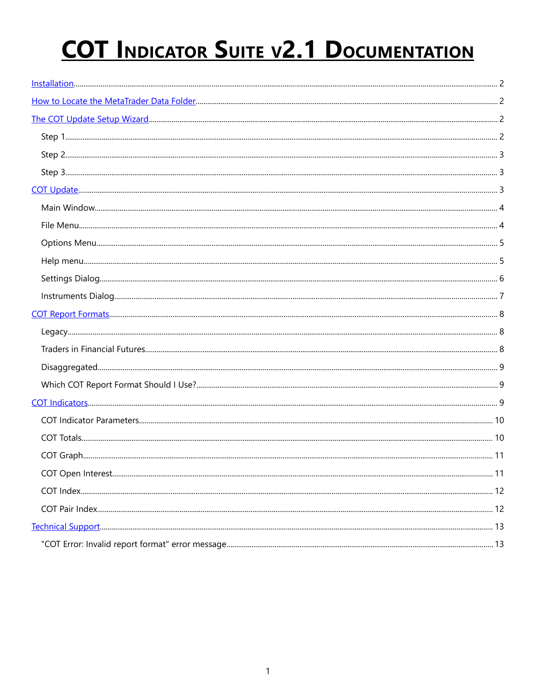# **COT INDICATOR SUITE V2.1 DOCUMENTATION**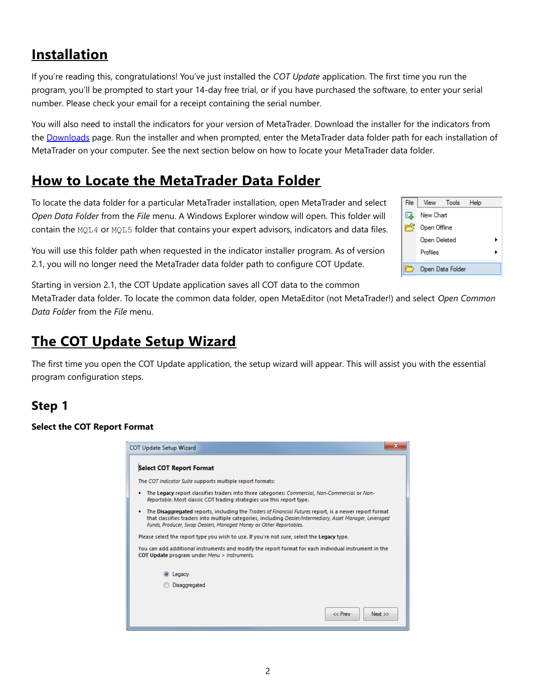# <span id="page-1-0"></span>**Installation**

If you're reading this, congratulations! You've just installed the *COT Update* application. The first time you run the program, you'll be prompted to start your 14-day free trial, or if you have purchased the software, to enter your serial number. Please check your email for a receipt containing the serial number.

You will also need to install the indicators for your version of MetaTrader. Download the installer for the indicators from the Downloads page. Run the installer and when prompted, enter the MetaTrader data folder path for each installation of MetaTrader on your computer. See the next section below on how to locate your MetaTrader data folder.

# <span id="page-1-2"></span>**How to Locate the MetaTrader Data Folder**

To locate the data folder for a particular MetaTrader installation, open MetaTrader and select *Open Data Folder* from the *File* menu. A Windows Explorer window will open. This folder will contain the MQL4 or MQL5 folder that contains your expert advisors, indicators and data files.

You will use this folder path when requested in the indicator installer program. As of version 2.1, you will no longer need the MetaTrader data folder path to configure COT Update.

Starting in version 2.1, the COT Update application saves all COT data to the common

MetaTrader data folder. To locate the common data folder, open MetaEditor (not MetaTrader!) and select *Open Common Data Folder* from the *File* menu.

# <span id="page-1-1"></span>**The COT Update Setup Wizard**

The first time you open the COT Update application, the setup wizard will appear. This will assist you with the essential program configuration steps.

# **Step 1**

#### **Select the COT Report Format**

| $\mathbf x$<br>OT Update Setup Wizard                                                                                                                                                                                                                                                     |
|-------------------------------------------------------------------------------------------------------------------------------------------------------------------------------------------------------------------------------------------------------------------------------------------|
| <b>Select COT Report Format</b>                                                                                                                                                                                                                                                           |
| The COT Indicator Suite supports multiple report formats:                                                                                                                                                                                                                                 |
| The Legacy report classifies traders into three categories: Commercial, Non-Commercial or Non-<br>Reportable. Most classic COT trading strategies use this report type.                                                                                                                   |
| The Disaggregated reports, including the Traders of Financial Futures report, is a newer report format<br>that classifies traders into multiple categories, including Dealer/Intermediary, Asset Manager, Leveraged<br>Funds, Producer, Swap Dealers, Managed Money or Other Reportables. |
| Please select the report type you wish to use. If you're not sure, select the Legacy type.                                                                                                                                                                                                |
| You can add additional instruments and modify the report format for each individual instrument in the<br>COT Update program under Menu > Instruments.                                                                                                                                     |
| Legacy                                                                                                                                                                                                                                                                                    |
| Disaggregated                                                                                                                                                                                                                                                                             |
|                                                                                                                                                                                                                                                                                           |
| $<<$ Prev<br>Next                                                                                                                                                                                                                                                                         |

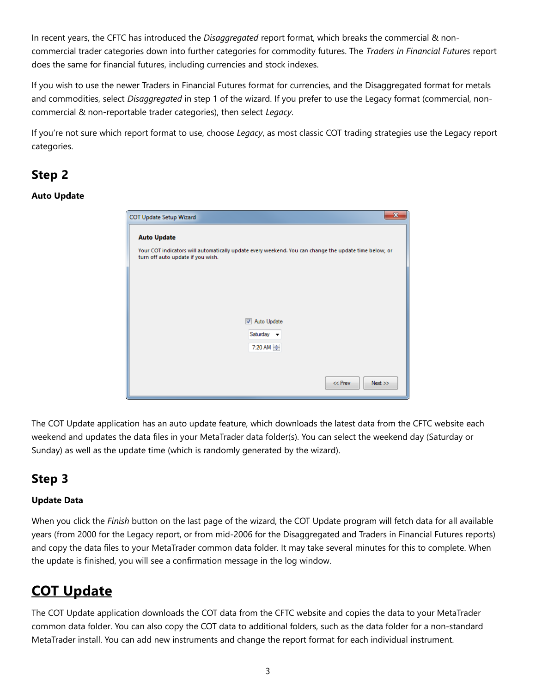In recent years, the CFTC has introduced the *Disaggregated* report format, which breaks the commercial & noncommercial trader categories down into further categories for commodity futures. The *Traders in Financial Futures* report does the same for financial futures, including currencies and stock indexes.

If you wish to use the newer Traders in Financial Futures format for currencies, and the Disaggregated format for metals and commodities, select *Disaggregated* in step 1 of the wizard. If you prefer to use the Legacy format (commercial, noncommercial & non-reportable trader categories), then select *Legacy*.

If you're not sure which report format to use, choose *Legacy*, as most classic COT trading strategies use the Legacy report categories.

# **Step 2**

#### **Auto Update**

| $\mathbf x$<br>COT Update Setup Wizard                                                                                                                           |
|------------------------------------------------------------------------------------------------------------------------------------------------------------------|
| <b>Auto Update</b><br>Your COT indicators will automatically update every weekend. You can change the update time below, or<br>turn off auto update if you wish. |
|                                                                                                                                                                  |
| Auto Update<br>Saturday $\sim$<br>7:20 AM $\rightleftharpoons$                                                                                                   |
| $<<$ Prev<br>Next                                                                                                                                                |

The COT Update application has an auto update feature, which downloads the latest data from the CFTC website each weekend and updates the data files in your MetaTrader data folder(s). You can select the weekend day (Saturday or Sunday) as well as the update time (which is randomly generated by the wizard).

# **Step 3**

#### **Update Data**

When you click the *Finish* button on the last page of the wizard, the COT Update program will fetch data for all available years (from 2000 for the Legacy report, or from mid-2006 for the Disaggregated and Traders in Financial Futures reports) and copy the data files to your MetaTrader common data folder. It may take several minutes for this to complete. When the update is finished, you will see a confirmation message in the log window.

# <span id="page-2-0"></span>**COT Update**

The COT Update application downloads the COT data from the CFTC website and copies the data to your MetaTrader common data folder. You can also copy the COT data to additional folders, such as the data folder for a non-standard MetaTrader install. You can add new instruments and change the report format for each individual instrument.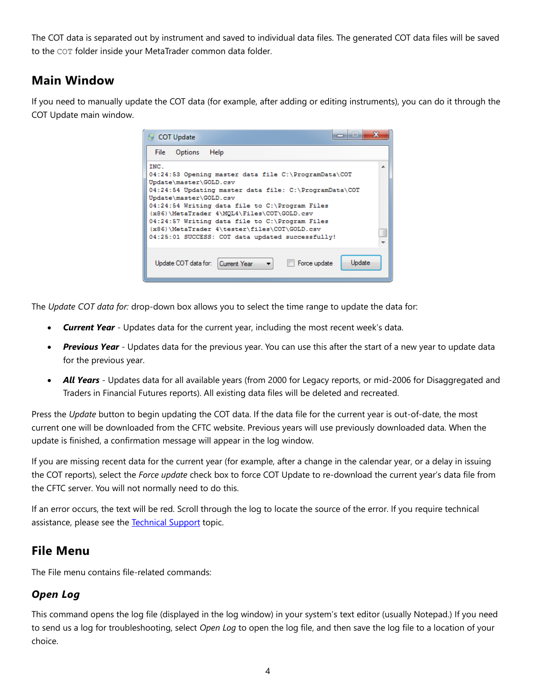The COT data is separated out by instrument and saved to individual data files. The generated COT data files will be saved to the COT folder inside your MetaTrader common data folder.

### **Main Window**

If you need to manually update the COT data (for example, after adding or editing instruments), you can do it through the COT Update main window.

| $\mathbf x$<br>--<br>COT Update                                                                                                                                                                                                                                                                                                                                  |  |
|------------------------------------------------------------------------------------------------------------------------------------------------------------------------------------------------------------------------------------------------------------------------------------------------------------------------------------------------------------------|--|
| <b>Options</b><br>Help<br>File                                                                                                                                                                                                                                                                                                                                   |  |
| TNC.<br>04:24:53 Opening master data file C:\ProgramData\COT                                                                                                                                                                                                                                                                                                     |  |
| Update\master\GOLD.csv<br>04:24:54 Updating master data file: C:\ProgramData\COT<br>Update\master\GOLD.csv<br>04:24:54 Writing data file to C:\Program Files<br>(x86)\MetaTrader 4\MQL4\Files\COT\GOLD.csv<br>04:24:57 Writing data file to C:\Program Files<br>(x86)\MetaTrader 4\tester\files\COT\GOLD.csv<br>04:25:01 SUCCESS: COT data updated successfully! |  |
| <b>Update</b><br>Update COT data for: Current Year<br>Force update<br>۰                                                                                                                                                                                                                                                                                          |  |

The *Update COT data for:* drop-down box allows you to select the time range to update the data for:

- **Current Year** Updates data for the current year, including the most recent week's data.
- *Previous Year* Updates data for the previous year. You can use this after the start of a new year to update data for the previous year.
- *All Years* Updates data for all available years (from 2000 for Legacy reports, or mid-2006 for Disaggregated and Traders in Financial Futures reports). All existing data files will be deleted and recreated.

Press the *Update* button to begin updating the COT data. If the data file for the current year is out-of-date, the most current one will be downloaded from the CFTC website. Previous years will use previously downloaded data. When the update is finished, a confirmation message will appear in the log window.

If you are missing recent data for the current year (for example, after a change in the calendar year, or a delay in issuing the COT reports), select the *Force update* check box to force COT Update to re-download the current year's data file from the CFTC server. You will not normally need to do this.

If an error occurs, the text will be red. Scroll through the log to locate the source of the error. If you require technical assistance, please see the [Technical Support](#page-12-0) topic.

### **File Menu**

The File menu contains file-related commands:

### *Open Log*

This command opens the log file (displayed in the log window) in your system's text editor (usually Notepad.) If you need to send us a log for troubleshooting, select *Open Log* to open the log file, and then save the log file to a location of your choice.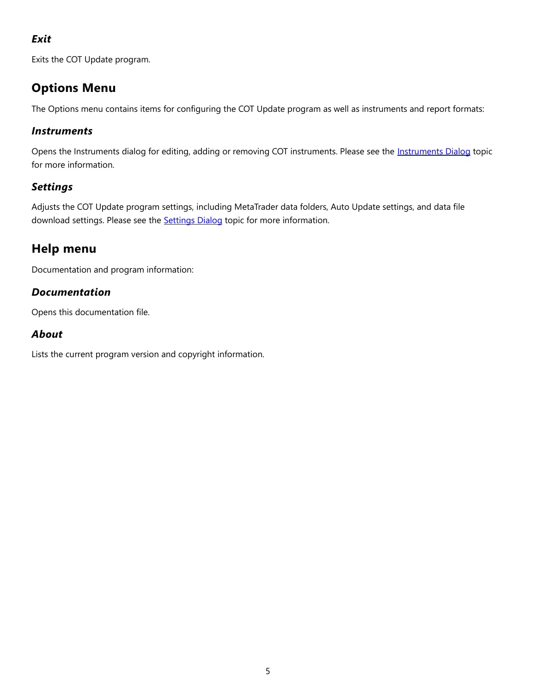### *Exit*

Exits the COT Update program.

# **Options Menu**

The Options menu contains items for configuring the COT Update program as well as instruments and report formats:

### *Instruments*

Opens the Instruments dialog for editing, adding or removing COT instruments. Please see the [Instruments Dialog](#page-6-0) topic for more information.

### *Settings*

Adjusts the COT Update program settings, including MetaTrader data folders, Auto Update settings, and data file download settings. Please see the **Settings Dialog** topic for more information.

# **Help menu**

Documentation and program information:

### *Documentation*

Opens this documentation file.

### *About*

Lists the current program version and copyright information.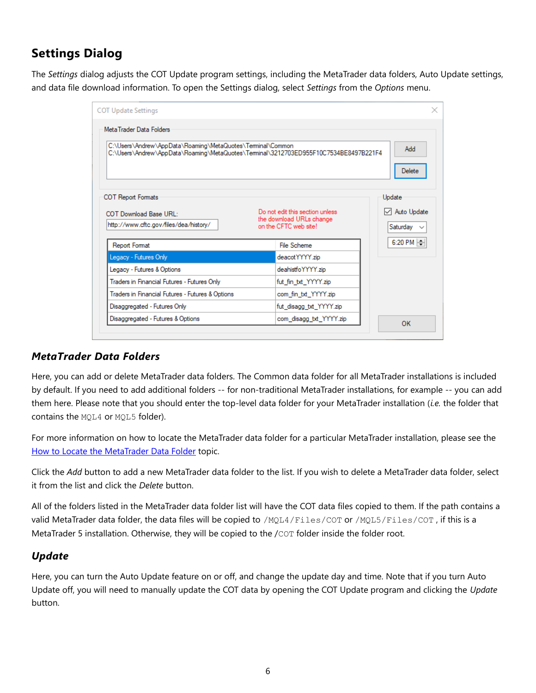# <span id="page-5-0"></span>**Settings Dialog**

The *Settings* dialog adjusts the COT Update program settings, including the MetaTrader data folders, Auto Update settings, and data file download information. To open the Settings dialog, select *Settings* from the *Options* menu.

| Meta Trader Data Folders                                                                                                                           |                                                                                      |                                            |
|----------------------------------------------------------------------------------------------------------------------------------------------------|--------------------------------------------------------------------------------------|--------------------------------------------|
| C:\Users\Andrew\AppData\Roaming\MetaQuotes\Terminal\Common<br>C:\Users\Andrew\AppData\Roaming\MetaQuotes\Terminal\3212703ED955F10C7534BE8497B221F4 |                                                                                      | Add<br>Delete                              |
| <b>COT Report Formats</b><br>COT Download Base URL:<br>http://www.cftc.gov/files/dea/history/                                                      | Do not edit this section unless<br>the download URLs change<br>on the CFTC web site! | Update<br>√ Auto Update<br>Saturday $\sim$ |
| <b>Report Format</b>                                                                                                                               | <b>File Scheme</b>                                                                   | 6:20 PM                                    |
| Legacy - Futures Only                                                                                                                              | deacot YYYY.zip                                                                      |                                            |
| Legacy - Futures & Options                                                                                                                         | deahistfoYYYY.zip                                                                    |                                            |
| Traders in Financial Futures - Futures Only                                                                                                        | fut_fin_txt_YYYY.zip                                                                 |                                            |
| Traders in Financial Futures - Futures & Options                                                                                                   | com fin txt_YYYY.zip                                                                 |                                            |
|                                                                                                                                                    |                                                                                      |                                            |
| Disaggregated - Futures Only                                                                                                                       | fut_disagg_txt_YYYY.zip                                                              |                                            |

#### *MetaTrader Data Folders*

Here, you can add or delete MetaTrader data folders. The Common data folder for all MetaTrader installations is included by default. If you need to add additional folders -- for non-traditional MetaTrader installations, for example -- you can add them here. Please note that you should enter the top-level data folder for your MetaTrader installation (*i.e.* the folder that contains the MQL4 or MQL5 folder).

For more information on how to locate the MetaTrader data folder for a particular MetaTrader installation, please see the [How to Locate the MetaTrader Data Folder](#page-1-2) topic.

Click the *Add* button to add a new MetaTrader data folder to the list. If you wish to delete a MetaTrader data folder, select it from the list and click the *Delete* button.

All of the folders listed in the MetaTrader data folder list will have the COT data files copied to them. If the path contains a valid MetaTrader data folder, the data files will be copied to /MQL4/Files/COT or /MQL5/Files/COT , if this is a MetaTrader 5 installation. Otherwise, they will be copied to the /COT folder inside the folder root.

#### *Update*

Here, you can turn the Auto Update feature on or off, and change the update day and time. Note that if you turn Auto Update off, you will need to manually update the COT data by opening the COT Update program and clicking the *Update* button.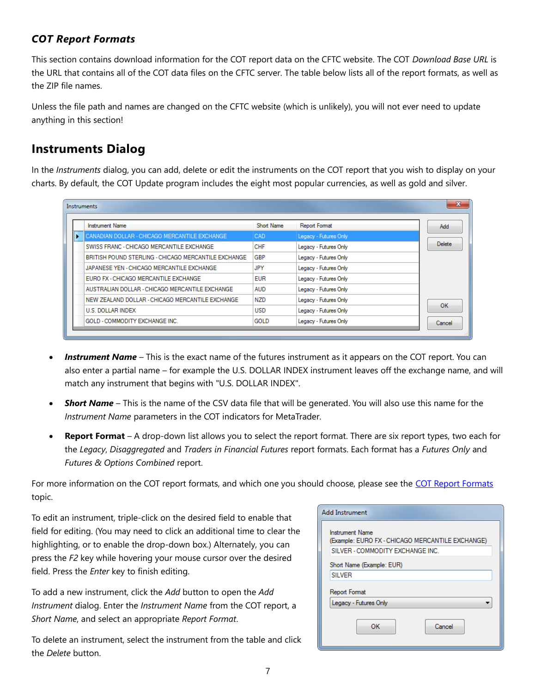### *COT Report Formats*

This section contains download information for the COT report data on the CFTC website. The COT *Download Base URL* is the URL that contains all of the COT data files on the CFTC server. The table below lists all of the report formats, as well as the ZIP file names.

Unless the file path and names are changed on the CFTC website (which is unlikely), you will not ever need to update anything in this section!

### <span id="page-6-0"></span>**Instruments Dialog**

In the *Instruments* dialog, you can add, delete or edit the instruments on the COT report that you wish to display on your charts. By default, the COT Update program includes the eight most popular currencies, as well as gold and silver.

| <b>Instruments</b> |  |                                                      |             |                       |               |  |  |
|--------------------|--|------------------------------------------------------|-------------|-----------------------|---------------|--|--|
|                    |  | <b>Instrument Name</b>                               | Short Name  | <b>Report Format</b>  | Add           |  |  |
|                    |  | CANADIAN DOLLAR - CHICAGO MERCANTILE EXCHANGE        | <b>CAD</b>  | Legacy - Futures Only |               |  |  |
|                    |  | SWISS FRANC - CHICAGO MERCANTILE EXCHANGE            | <b>CHF</b>  | Legacy - Futures Only | <b>Delete</b> |  |  |
|                    |  | BRITISH POUND STERLING - CHICAGO MERCANTILE EXCHANGE | GBP         | Legacy - Futures Only |               |  |  |
|                    |  | JAPANESE YEN - CHICAGO MERCANTILE EXCHANGE           | JPY         | Legacy - Futures Only |               |  |  |
|                    |  | EURO FX - CHICAGO MERCANTILE EXCHANGE                | <b>EUR</b>  | Legacy - Futures Only |               |  |  |
|                    |  | AUSTRALIAN DOLLAR - CHICAGO MERCANTILE EXCHANGE      | <b>AUD</b>  | Legacy - Futures Only |               |  |  |
|                    |  | NEW ZEALAND DOLLAR - CHICAGO MERCANTILE EXCHANGE     | <b>NZD</b>  | Legacy - Futures Only |               |  |  |
|                    |  | <b>U.S. DOLLAR INDEX</b>                             | <b>USD</b>  | Legacy - Futures Only | OK            |  |  |
|                    |  | GOLD - COMMODITY EXCHANGE INC.                       | <b>GOLD</b> | Legacy - Futures Only | Cancel        |  |  |
|                    |  |                                                      |             |                       |               |  |  |

- *Instrument Name* This is the exact name of the futures instrument as it appears on the COT report. You can also enter a partial name – for example the U.S. DOLLAR INDEX instrument leaves off the exchange name, and will match any instrument that begins with "U.S. DOLLAR INDEX".
- *Short Name* This is the name of the CSV data file that will be generated. You will also use this name for the *Instrument Name* parameters in the COT indicators for MetaTrader.
- **Report Format** A drop-down list allows you to select the report format. There are six report types, two each for the *Legacy*, *Disaggregated* and *Traders in Financial Futures* report formats. Each format has a *Futures Only* and *Futures & Options Combined* report.

For more information on the COT report formats, and which one you should choose, please see the [COT Report Formats](#page-7-0) topic.

To edit an instrument, triple-click on the desired field to enable that field for editing. (You may need to click an additional time to clear the highlighting, or to enable the drop-down box.) Alternately, you can press the *F2* key while hovering your mouse cursor over the desired field. Press the *Enter* key to finish editing.

To add a new instrument, click the *Add* button to open the *Add Instrument* dialog. Enter the *Instrument Name* from the COT report, a *Short Name*, and select an appropriate *Report Format*.

To delete an instrument, select the instrument from the table and click the *Delete* button.

| <b>Add Instrument</b>                                               |  |  |  |
|---------------------------------------------------------------------|--|--|--|
| Instrument Name<br>(Example: EURO FX - CHICAGO MERCANTILE EXCHANGE) |  |  |  |
| SILVER - COMMODITY EXCHANGE INC.                                    |  |  |  |
| Short Name (Example: EUR)                                           |  |  |  |
| <b>SILVER</b>                                                       |  |  |  |
| Report Format                                                       |  |  |  |
| Legacy - Futures Only                                               |  |  |  |
| Cancel<br>ок                                                        |  |  |  |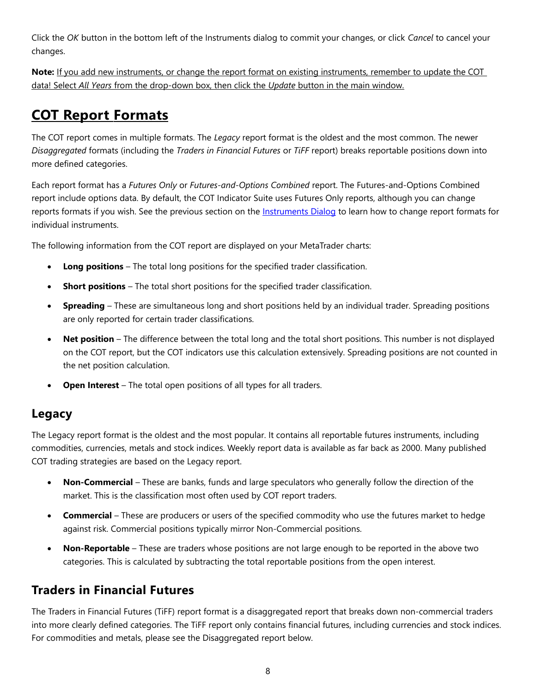Click the *OK* button in the bottom left of the Instruments dialog to commit your changes, or click *Cancel* to cancel your changes.

**Note:** If you add new instruments, or change the report format on existing instruments, remember to update the COT data! Select *All Years* from the drop-down box, then click the *Update* button in the main window.

# <span id="page-7-0"></span> **COT Report Formats**

The COT report comes in multiple formats. The *Legacy* report format is the oldest and the most common. The newer *Disaggregated* formats (including the *Traders in Financial Futures* or *TiFF* report) breaks reportable positions down into more defined categories.

Each report format has a *Futures Only* or *Futures-and-Options Combined* report. The Futures-and-Options Combined report include options data. By default, the COT Indicator Suite uses Futures Only reports, although you can change reports formats if you wish. See the previous section on the **Instruments Dialog** to learn how to change report formats for individual instruments.

The following information from the COT report are displayed on your MetaTrader charts:

- **Long positions** The total long positions for the specified trader classification.
- **Short positions** The total short positions for the specified trader classification.
- **Spreading** These are simultaneous long and short positions held by an individual trader. Spreading positions are only reported for certain trader classifications.
- **Net position** The difference between the total long and the total short positions. This number is not displayed on the COT report, but the COT indicators use this calculation extensively. Spreading positions are not counted in the net position calculation.
- **Open Interest** The total open positions of all types for all traders.

### **Legacy**

The Legacy report format is the oldest and the most popular. It contains all reportable futures instruments, including commodities, currencies, metals and stock indices. Weekly report data is available as far back as 2000. Many published COT trading strategies are based on the Legacy report.

- **Non-Commercial** These are banks, funds and large speculators who generally follow the direction of the market. This is the classification most often used by COT report traders.
- **Commercial** These are producers or users of the specified commodity who use the futures market to hedge against risk. Commercial positions typically mirror Non-Commercial positions.
- **Non-Reportable** These are traders whose positions are not large enough to be reported in the above two categories. This is calculated by subtracting the total reportable positions from the open interest.

### **Traders in Financial Futures**

The Traders in Financial Futures (TiFF) report format is a disaggregated report that breaks down non-commercial traders into more clearly defined categories. The TiFF report only contains financial futures, including currencies and stock indices. For commodities and metals, please see the Disaggregated report below.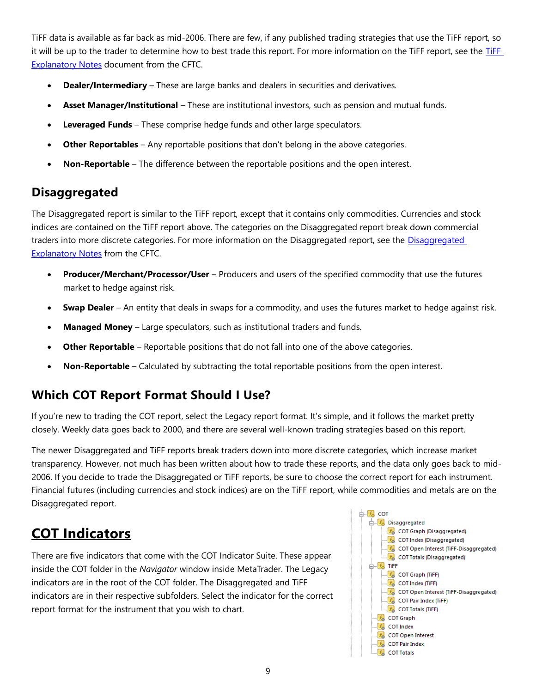TiFF data is available as far back as mid-2006. There are few, if any published trading strategies that use the TiFF report, so it will be up to the trader to determine how to best trade this report. For more information on the [TiFF](http://www.cftc.gov/ucm/groups/public/@commitmentsoftraders/documents/file/tfmexplanatorynotes.pdf) report, see the TiFF [Explanatory Notes](http://www.cftc.gov/ucm/groups/public/@commitmentsoftraders/documents/file/tfmexplanatorynotes.pdf) document from the CFTC.

- **Dealer/Intermediary** These are large banks and dealers in securities and derivatives.
- **Asset Manager/Institutional** These are institutional investors, such as pension and mutual funds.
- **Leveraged Funds** These comprise hedge funds and other large speculators.
- **Other Reportables** Any reportable positions that don't belong in the above categories.
- **Non-Reportable** The difference between the reportable positions and the open interest.

### **Disaggregated**

The Disaggregated report is similar to the TiFF report, except that it contains only commodities. Currencies and stock indices are contained on the TiFF report above. The categories on the Disaggregated report break down commercial traders into more discrete categories. For more information on the [Disaggregated](http://www.cftc.gov/MarketReports/CommitmentsofTraders/DisaggregatedExplanatoryNotes/index.htm) report, see the Disaggregated [Explanatory Notes](http://www.cftc.gov/MarketReports/CommitmentsofTraders/DisaggregatedExplanatoryNotes/index.htm) from the CFTC.

- **Producer/Merchant/Processor/User** Producers and users of the specified commodity that use the futures market to hedge against risk.
- **Swap Dealer** An entity that deals in swaps for a commodity, and uses the futures market to hedge against risk.
- **Managed Money** Large speculators, such as institutional traders and funds.
- **Other Reportable**  Reportable positions that do not fall into one of the above categories.
- **Non-Reportable** Calculated by subtracting the total reportable positions from the open interest.

### **Which COT Report Format Should I Use?**

If you're new to trading the COT report, select the Legacy report format. It's simple, and it follows the market pretty closely. Weekly data goes back to 2000, and there are several well-known trading strategies based on this report.

The newer Disaggregated and TiFF reports break traders down into more discrete categories, which increase market transparency. However, not much has been written about how to trade these reports, and the data only goes back to mid-2006. If you decide to trade the Disaggregated or TiFF reports, be sure to choose the correct report for each instrument. Financial futures (including currencies and stock indices) are on the TiFF report, while commodities and metals are on the Disaggregated report.

# <span id="page-8-0"></span>**COT Indicators**

There are five indicators that come with the COT Indicator Suite. These appear inside the COT folder in the *Navigator* window inside MetaTrader. The Legacy indicators are in the root of the COT folder. The Disaggregated and TiFF indicators are in their respective subfolders. Select the indicator for the correct report format for the instrument that you wish to chart.

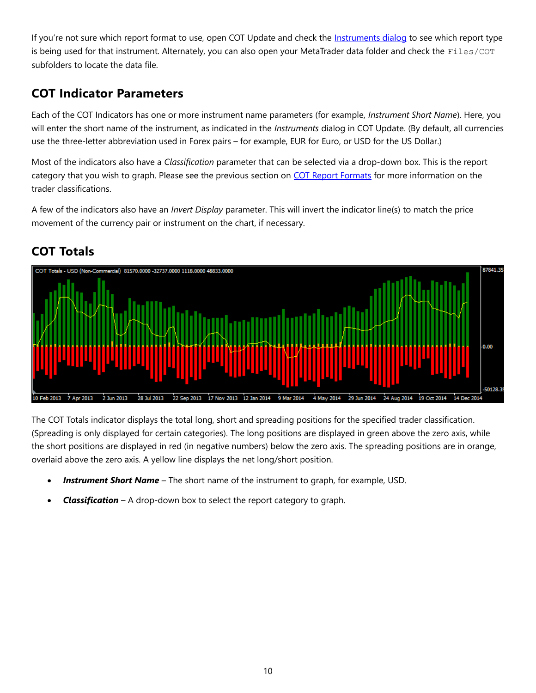If you're not sure which report format to use, open COT Update and check the [Instruments dialog](#page-6-0) to see which report type is being used for that instrument. Alternately, you can also open your MetaTrader data folder and check the Files/COT subfolders to locate the data file.

# **COT Indicator Parameters**

Each of the COT Indicators has one or more instrument name parameters (for example, *Instrument Short Name*). Here, you will enter the short name of the instrument, as indicated in the *Instruments* dialog in COT Update. (By default, all currencies use the three-letter abbreviation used in Forex pairs – for example, EUR for Euro, or USD for the US Dollar.)

Most of the indicators also have a *Classification* parameter that can be selected via a drop-down box. This is the report category that you wish to graph. Please see the previous section on [COT Report Formats](#page-7-0) for more information on the trader classifications.

A few of the indicators also have an *Invert Display* parameter. This will invert the indicator line(s) to match the price movement of the currency pair or instrument on the chart, if necessary.



# **COT Totals**

The COT Totals indicator displays the total long, short and spreading positions for the specified trader classification. (Spreading is only displayed for certain categories). The long positions are displayed in green above the zero axis, while the short positions are displayed in red (in negative numbers) below the zero axis. The spreading positions are in orange, overlaid above the zero axis. A yellow line displays the net long/short position.

- *Instrument Short Name* The short name of the instrument to graph, for example, USD.
- *Classification* A drop-down box to select the report category to graph.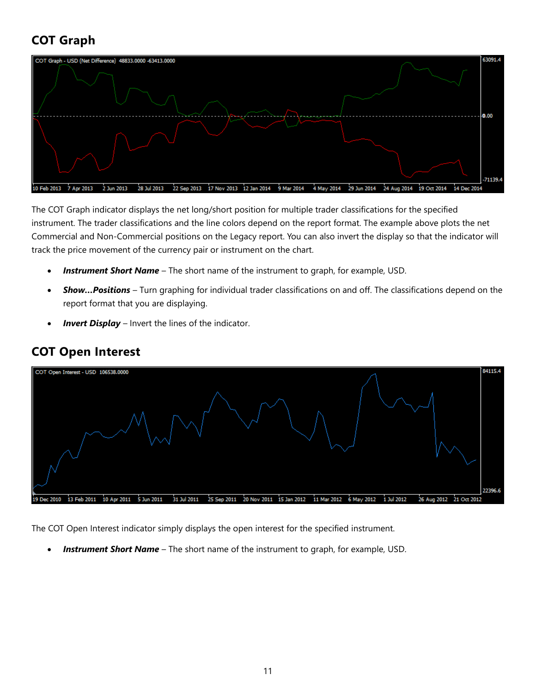# **COT Graph**



The COT Graph indicator displays the net long/short position for multiple trader classifications for the specified instrument. The trader classifications and the line colors depend on the report format. The example above plots the net Commercial and Non-Commercial positions on the Legacy report. You can also invert the display so that the indicator will track the price movement of the currency pair or instrument on the chart.

- *Instrument Short Name* The short name of the instrument to graph, for example, USD.
- *Show…Positions* Turn graphing for individual trader classifications on and off. The classifications depend on the report format that you are displaying.
- *Invert Display* Invert the lines of the indicator.



### **COT Open Interest**

The COT Open Interest indicator simply displays the open interest for the specified instrument.

**Instrument Short Name** – The short name of the instrument to graph, for example, USD.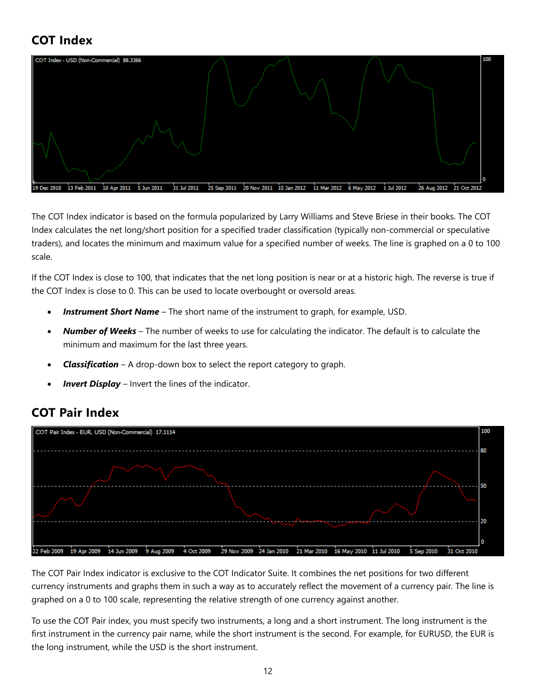# **COT Index**



The COT Index indicator is based on the formula popularized by Larry Williams and Steve Briese in their books. The COT Index calculates the net long/short position for a specified trader classification (typically non-commercial or speculative traders), and locates the minimum and maximum value for a specified number of weeks. The line is graphed on a 0 to 100 scale.

If the COT Index is close to 100, that indicates that the net long position is near or at a historic high. The reverse is true if the COT Index is close to 0. This can be used to locate overbought or oversold areas.

- *Instrument Short Name* The short name of the instrument to graph, for example, USD.
- *Number of Weeks* The number of weeks to use for calculating the indicator. The default is to calculate the minimum and maximum for the last three years.
- *Classification* A drop-down box to select the report category to graph.
- *Invert Display* Invert the lines of the indicator.

### **COT Pair Index**



The COT Pair Index indicator is exclusive to the COT Indicator Suite. It combines the net positions for two different currency instruments and graphs them in such a way as to accurately reflect the movement of a currency pair. The line is graphed on a 0 to 100 scale, representing the relative strength of one currency against another.

To use the COT Pair index, you must specify two instruments, a long and a short instrument. The long instrument is the first instrument in the currency pair name, while the short instrument is the second. For example, for EURUSD, the EUR is the long instrument, while the USD is the short instrument.